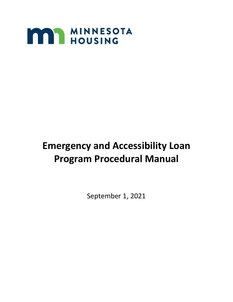

# **Emergency and Accessibility Loan Program Procedural Manual**

September 1, 2021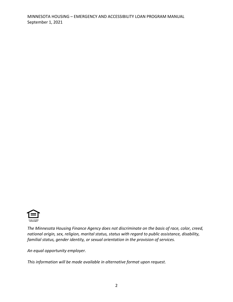

*The Minnesota Housing Finance Agency does not discriminate on the basis of race, color, creed, national origin, sex, religion, marital status, status with regard to public assistance, disability, familial status, gender identity, or sexual orientation in the provision of services.*

*An equal opportunity employer.*

*This information will be made available in alternative format upon request.*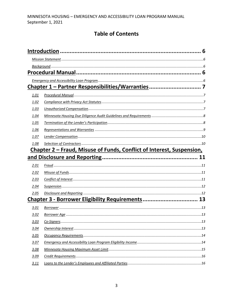# **Table of Contents**

|      | Chapter 1 - Partner Responsibilities/Warranties 7                     |  |
|------|-----------------------------------------------------------------------|--|
| 1.01 |                                                                       |  |
| 1.02 |                                                                       |  |
| 1.03 |                                                                       |  |
| 1.04 |                                                                       |  |
| 1.05 |                                                                       |  |
| 1.06 |                                                                       |  |
| 1.07 |                                                                       |  |
| 1.08 |                                                                       |  |
|      | Chapter 2 – Fraud, Misuse of Funds, Conflict of Interest, Suspension, |  |
|      |                                                                       |  |
| 2.01 |                                                                       |  |
| 2.02 |                                                                       |  |
| 2.03 |                                                                       |  |
| 2.04 |                                                                       |  |
| 2.05 |                                                                       |  |
|      | Chapter 3 - Borrower Eligibility Requirements 13                      |  |
| 3.01 |                                                                       |  |
| 3.02 |                                                                       |  |
| 3.03 |                                                                       |  |
| 3.04 |                                                                       |  |
| 3.05 |                                                                       |  |
| 3.07 |                                                                       |  |
| 3.08 |                                                                       |  |
| 3.09 |                                                                       |  |
| 3.11 |                                                                       |  |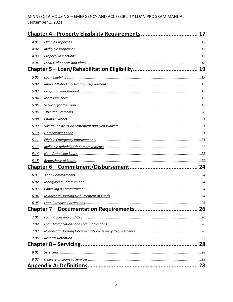| 4.01 |  |  |
|------|--|--|
| 4.02 |  |  |
| 4.03 |  |  |
| 4.04 |  |  |
|      |  |  |
| 5.01 |  |  |
| 5.02 |  |  |
| 5.03 |  |  |
| 5.04 |  |  |
| 5.05 |  |  |
| 5.06 |  |  |
| 5.08 |  |  |
| 5.09 |  |  |
| 5.10 |  |  |
| 5.11 |  |  |
| 5.13 |  |  |
| 5.14 |  |  |
| 5.15 |  |  |
|      |  |  |
| 6.01 |  |  |
| 6.02 |  |  |
| 6.03 |  |  |
| 6.04 |  |  |
| 6.05 |  |  |
|      |  |  |
| 7.01 |  |  |
| 7.02 |  |  |
| 7.03 |  |  |
| 7.05 |  |  |
|      |  |  |
| 8.01 |  |  |
| 8.02 |  |  |
|      |  |  |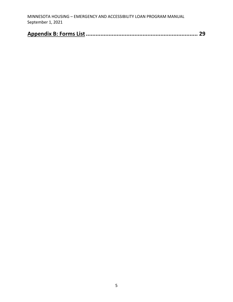| MINNESOTA HOUSING – EMERGENCY AND ACCESSIBILITY LOAN PROGRAM MANUAL |
|---------------------------------------------------------------------|
| September 1, 2021                                                   |

|--|--|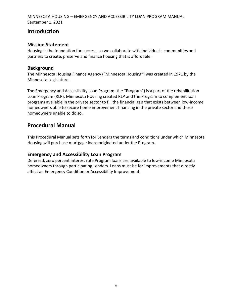# <span id="page-5-0"></span>**Introduction**

#### <span id="page-5-1"></span>**Mission Statement**

Housing is the foundation for success, so we collaborate with individuals, communities and partners to create, preserve and finance housing that is affordable.

#### <span id="page-5-2"></span>**Background**

The Minnesota Housing Finance Agency ("Minnesota Housing") was created in 1971 by the Minnesota Legislature.

The Emergency and Accessibility Loan Program (the "Program") is a part of the rehabilitation Loan Program (RLP). Minnesota Housing created RLP and the Program to complement loan programs available in the private sector to fill the financial gap that exists between low-income homeowners able to secure home improvement financing in the private sector and those homeowners unable to do so.

# <span id="page-5-3"></span>**Procedural Manual**

This Procedural Manual sets forth for Lenders the terms and conditions under which Minnesota Housing will purchase mortgage loans originated under the Program.

#### <span id="page-5-4"></span>**Emergency and Accessibility Loan Program**

Deferred, zero percent interest rate Program loans are available to low-income Minnesota homeowners through participating Lenders. Loans must be for improvements that directly affect an Emergency Condition or Accessibility Improvement.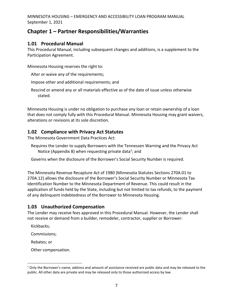# <span id="page-6-0"></span>**Chapter 1 – Partner Responsibilities/Warranties**

## <span id="page-6-1"></span>**1.01 Procedural Manual**

This Procedural Manual, including subsequent changes and additions, is a supplement to the Participation Agreement.

Minnesota Housing reserves the right to:

- Alter or waive any of the requirements;
- Impose other and additional requirements; and
- Rescind or amend any or all materials effective as of the date of issue unless otherwise stated.

Minnesota Housing is under no obligation to purchase any loan or retain ownership of a loan that does not comply fully with this Procedural Manual. Minnesota Housing may grant waivers, alterations or revisions at its sole discretion.

## <span id="page-6-2"></span>**1.02 Compliance with Privacy Act Statutes**

The Minnesota Government Data Practices Act:

- Requires the Lender to supply Borrowers with the Tennessen Warning and the Privacy Act Notice (Appendix B) when requesting private data<sup>1</sup>; and
- Governs when the disclosure of the Borrower's Social Security Number is required.

The Minnesota Revenue Recapture Act of 1980 (Minnesota Statutes Sections 270A.01 to 270A.12) allows the disclosure of the Borrower's Social Security Number or Minnesota Tax Identification Number to the Minnesota Department of Revenue. This could result in the application of funds held by the State, including but not limited to tax refunds, to the payment of any delinquent indebtedness of the Borrower to Minnesota Housing.

#### <span id="page-6-3"></span>**1.03 Unauthorized Compensation**

The Lender may receive fees approved in this Procedural Manual. However, the Lender shall not receive or demand from a builder, remodeler, contractor, supplier or Borrower:

Kickbacks;

Commissions;

Rebates; or

Other compensation.

 $1$  Only the Borrower's name, address and amount of assistance received are public data and may be released to the public. All other data are private and may be released only to those authorized access by law.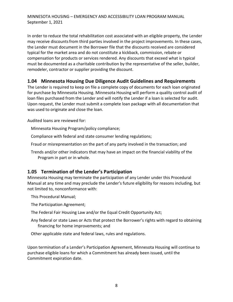In order to reduce the total rehabilitation cost associated with an eligible property, the Lender may receive discounts from third parties involved in the project improvements. In these cases, the Lender must document in the Borrower file that the discounts received are considered typical for the market area and do not constitute a kickback, commission, rebate or compensation for products or services rendered. Any discounts that exceed what is typical must be documented as a charitable contribution by the representative of the seller, builder, remodeler, contractor or supplier providing the discount.

#### <span id="page-7-0"></span>**1.04 Minnesota Housing Due Diligence Audit Guidelines and Requirements**

The Lender is required to keep on file a complete copy of documents for each loan originated for purchase by Minnesota Housing. Minnesota Housing will perform a quality control audit of loan files purchased from the Lender and will notify the Lender if a loan is selected for audit. Upon request, the Lender must submit a complete loan package with all documentation that was used to originate and close the loan.

Audited loans are reviewed for:

Minnesota Housing Program/policy compliance;

Compliance with federal and state consumer lending regulations;

Fraud or misrepresentation on the part of any party involved in the transaction; and

Trends and/or other indicators that may have an impact on the financial viability of the Program in part or in whole.

#### <span id="page-7-1"></span>**1.05 Termination of the Lender's Participation**

Minnesota Housing may terminate the participation of any Lender under this Procedural Manual at any time and may preclude the Lender's future eligibility for reasons including, but not limited to, nonconformance with:

This Procedural Manual;

The Participation Agreement;

The Federal Fair Housing Law and/or the Equal Credit Opportunity Act;

Any federal or state Laws or Acts that protect the Borrower's rights with regard to obtaining financing for home improvements; and

Other applicable state and federal laws, rules and regulations.

Upon termination of a Lender's Participation Agreement, Minnesota Housing will continue to purchase eligible loans for which a Commitment has already been issued, until the Commitment expiration date.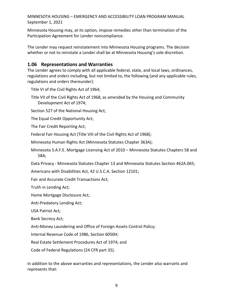Minnesota Housing may, at its option, impose remedies other than termination of the Participation Agreement for Lender noncompliance.

The Lender may request reinstatement into Minnesota Housing programs. The decision whether or not to reinstate a Lender shall be at Minnesota Housing's sole discretion.

#### <span id="page-8-0"></span>**1.06 Representations and Warranties**

The Lender agrees to comply with all applicable federal, state, and local laws, ordinances, regulations and orders including, but not limited to, the following (and any applicable rules, regulations and orders thereunder):

Title VI of the Civil Rights Act of 1964;

Title VII of the Civil Rights Act of 1968, as amended by the Housing and Community Development Act of 1974;

Section 527 of the National Housing Act;

The Equal Credit Opportunity Act;

The Fair Credit Reporting Act;

Federal Fair Housing Act (Title VIII of the Civil Rights Act of 1968);

Minnesota Human Rights Act (Minnesota Statutes Chapter 363A);

Minnesota S.A.F.E. Mortgage Licensing Act of 2010 – Minnesota Statutes Chapters 58 and 58A;

Data Privacy - Minnesota Statutes Chapter 13 and Minnesota Statutes Section 462A.065;

Americans with Disabilities Act, 42 U.S.C.A. Section 12101;

Fair and Accurate Credit Transactions Act;

Truth in Lending Act;

Home Mortgage Disclosure Act;

Anti-Predatory Lending Act;

USA Patriot Act;

Bank Secrecy Act;

Anti-Money Laundering and Office of Foreign Assets Control Policy;

Internal Revenue Code of 1986, Section 6050H;

Real Estate Settlement Procedures Act of 1974; and

Code of Federal Regulations (24 CFR part 35).

In addition to the above warranties and representations, the Lender also warrants and represents that: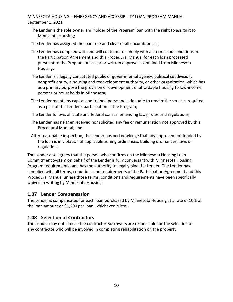The Lender is the sole owner and holder of the Program loan with the right to assign it to Minnesota Housing;

The Lender has assigned the loan free and clear of all encumbrances;

- The Lender has complied with and will continue to comply with all terms and conditions in the Participation Agreement and this Procedural Manual for each loan processed pursuant to the Program unless prior written approval is obtained from Minnesota Housing;
- The Lender is a legally constituted public or governmental agency, political subdivision, nonprofit entity, a housing and redevelopment authority, or other organization, which has as a primary purpose the provision or development of affordable housing to low-income persons or households in Minnesota;
- The Lender maintains capital and trained personnel adequate to render the services required as a part of the Lender's participation in the Program;
- The Lender follows all state and federal consumer lending laws, rules and regulations;
- The Lender has neither received nor solicited any fee or remuneration not approved by this Procedural Manual; and
- After reasonable inspection, the Lender has no knowledge that any improvement funded by the loan is in violation of applicable zoning ordinances, building ordinances, laws or regulations.

The Lender also agrees that the person who confirms on the Minnesota Housing Loan Commitment System on behalf of the Lender is fully conversant with Minnesota Housing Program requirements, and has the authority to legally bind the Lender. The Lender has complied with all terms, conditions and requirements of the Participation Agreement and this Procedural Manual unless those terms, conditions and requirements have been specifically waived in writing by Minnesota Housing.

#### <span id="page-9-0"></span>**1.07 Lender Compensation**

The Lender is compensated for each loan purchased by Minnesota Housing at a rate of 10% of the loan amount or \$1,200 per loan, whichever is less.

#### <span id="page-9-1"></span>**1.08 Selection of Contractors**

The Lender may not choose the contractor Borrowers are responsible for the selection of any contractor who will be involved in completing rehabilitation on the property.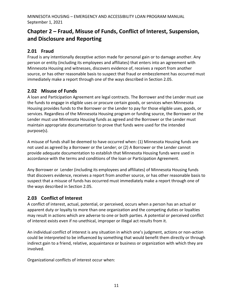# <span id="page-10-0"></span>**Chapter 2 – Fraud, Misuse of Funds, Conflict of Interest, Suspension, and Disclosure and Reporting**

## <span id="page-10-1"></span>**2.01 Fraud**

Fraud is any intentionally deceptive action made for personal gain or to damage another. Any person or entity (including its employees and affiliates) that enters into an agreement with Minnesota Housing and witnesses, discovers evidence of, receives a report from another source, or has other reasonable basis to suspect that fraud or embezzlement has occurred must immediately make a report through one of the ways described in Section 2.05.

# <span id="page-10-2"></span>**2.02 Misuse of Funds**

A loan and Participation Agreement are legal contracts. The Borrower and the Lender must use the funds to engage in eligible uses or procure certain goods, or services when Minnesota Housing provides funds to the Borrower or the Lender to pay for those eligible uses, goods, or services. Regardless of the Minnesota Housing program or funding source, the Borrower or the Lender must use Minnesota Housing funds as agreed and the Borrower or the Lender must maintain appropriate documentation to prove that funds were used for the intended purpose(s).

A misuse of funds shall be deemed to have occurred when: (1) Minnesota Housing funds are not used as agreed by a Borrower or the Lender; or (2) A Borrower or the Lender cannot provide adequate documentation to establish that Minnesota Housing funds were used in accordance with the terms and conditions of the loan or Participation Agreement.

Any Borrower or Lender (including its employees and affiliates) of Minnesota Housing funds that discovers evidence, receives a report from another source, or has other reasonable basis to suspect that a misuse of funds has occurred must immediately make a report through one of the ways described in Section 2.05.

## <span id="page-10-3"></span>**2.03 Conflict of Interest**

A conflict of interest, actual, potential, or perceived, occurs when a person has an actual or apparent duty or loyalty to more than one organization and the competing duties or loyalties may result in actions which are adverse to one or both parties. A potential or perceived conflict of interest exists even if no unethical, improper or illegal act results from it.

An individual conflict of interest is any situation in which one's judgment, actions or non-action could be interpreted to be influenced by something that would benefit them directly or through indirect gain to a friend, relative, acquaintance or business or organization with which they are involved.

Organizational conflicts of interest occur when: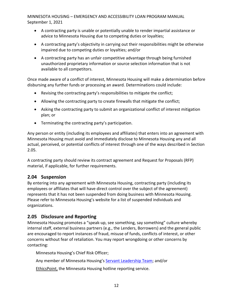- A contracting party is unable or potentially unable to render impartial assistance or advice to Minnesota Housing due to competing duties or loyalties;
- A contracting party's objectivity in carrying out their responsibilities might be otherwise impaired due to competing duties or loyalties; and/or
- A contracting party has an unfair competitive advantage through being furnished unauthorized proprietary information or source selection information that is not available to all competitors.

Once made aware of a conflict of interest, Minnesota Housing will make a determination before disbursing any further funds or processing an award. Determinations could include:

- Revising the contracting party's responsibilities to mitigate the conflict;
- Allowing the contracting party to create firewalls that mitigate the conflict;
- Asking the contracting party to submit an organizational conflict of interest mitigation plan; or
- Terminating the contracting party's participation.

Any person or entity (including its employees and affiliates) that enters into an agreement with Minnesota Housing must avoid and immediately disclose to Minnesota Housing any and all actual, perceived, or potential conflicts of interest through one of the ways described in Section 2.05.

A contracting party should review its contract agreement and Request for Proposals (RFP) material, if applicable, for further requirements.

#### <span id="page-11-0"></span>**2.04 Suspension**

By entering into any agreement with Minnesota Housing, contracting party (including its employees or affiliates that will have direct control over the subject of the agreement) represents that it has not been suspended from doing business with Minnesota Housing. Please refer to Minnesota Housing's website for a list of suspended individuals and organizations.

## <span id="page-11-1"></span>**2.05 Disclosure and Reporting**

Minnesota Housing promotes a "speak-up, see something, say something" culture whereby internal staff, external business partners (e.g., the Lenders, Borrowers) and the general public are encouraged to report instances of fraud, misuse of funds, conflicts of interest, or other concerns without fear of retaliation. You may report wrongdoing or other concerns by contacting:

Minnesota Housing's Chief Risk Officer;

Any member of Minnesota Housing's [Servant Leadership Team;](http://www.mnhousing.gov/sites/np/leadership) and/or

[EthicsPoint,](https://secure.ethicspoint.com/domain/media/en/gui/30639/index.html) the Minnesota Housing hotline reporting service.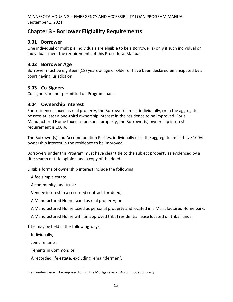# <span id="page-12-0"></span>**Chapter 3 - Borrower Eligibility Requirements**

#### <span id="page-12-1"></span>**3.01 Borrower**

One individual or multiple individuals are eligible to be a Borrower(s) only if such individual or individuals meet the requirements of this Procedural Manual.

## <span id="page-12-2"></span>**3.02 Borrower Age**

Borrower must be eighteen (18) years of age or older or have been declared emancipated by a court having jurisdiction.

## <span id="page-12-3"></span>**3.03 Co-Signers**

Co-signers are not permitted on Program loans.

#### <span id="page-12-4"></span>**3.04 Ownership Interest**

For residences taxed as real property, the Borrower(s) must individually, or in the aggregate, possess at least a one-third ownership interest in the residence to be improved. For a Manufactured Home taxed as personal property, the Borrower(s) ownership interest requirement is 100%.

The Borrower(s) and Accommodation Parties, individually or in the aggregate, must have 100% ownership interest in the residence to be improved.

Borrowers under this Program must have clear title to the subject property as evidenced by a title search or title opinion and a copy of the deed.

Eligible forms of ownership interest include the following:

A fee simple estate;

A community land trust;

Vendee interest in a recorded contract-for-deed;

A Manufactured Home taxed as real property; or

A Manufactured Home taxed as personal property and located in a Manufactured Home park.

A Manufactured Home with an approved tribal residential lease located on tribal lands.

Title may be held in the following ways:

Individually;

Joint Tenants;

Tenants in Common; or

A recorded life estate, excluding remaindermen<sup>2</sup>.

<sup>2</sup>Remainderman will be required to sign the Mortgage as an Accommodation Party.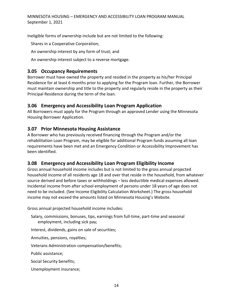Ineligible forms of ownership include but are not limited to the following:

Shares in a Cooperative Corporation;

An ownership interest by any form of trust; and

An ownership interest subject to a reverse mortgage.

#### <span id="page-13-0"></span>**3.05 Occupancy Requirements**

Borrower must have owned the property and resided in the property as his/her Principal Residence for at least 6 months prior to applying for the Program loan. Further, the Borrower must maintain ownership and title to the property and regularly reside in the property as their Principal Residence during the term of the loan.

#### **3.06 Emergency and Accessibility Loan Program Application**

All Borrowers must apply for the Program through an approved Lender using the Minnesota Housing Borrower Application.

## **3.07 Prior Minnesota Housing Assistance**

A Borrower who has previously received financing through the Program and/or the rehabilitation Loan Program, may be eligible for additional Program funds assuming all loan requirements have been met and an Emergency Condition or Accessibility Improvement has been identified.

#### <span id="page-13-1"></span>**3.08 Emergency and Accessibility Loan Program Eligibility Income**

Gross annual household income includes but is not limited to the gross annual projected household income of all residents age 18 and over that reside in the household, from whatever source derived and before taxes or withholdings – less deductible medical expenses allowed. Incidental income from after school employment of persons under 18 years of age does not need to be included. (See Income Eligibility Calculation Worksheet.) The gross household income may not exceed the amounts listed on Minnesota Housing's Website.

Gross annual projected household income includes:

Salary, commissions, bonuses, tips, earnings from full-time, part-time and seasonal employment, including sick pay;

Interest, dividends, gains on sale of securities;

Annuities, pensions, royalties;

Veterans Administration compensation/benefits;

Public assistance;

Social Security benefits;

Unemployment insurance;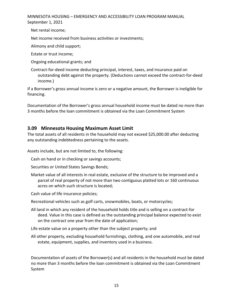Net rental income;

Net income received from business activities or investments;

Alimony and child support;

Estate or trust income;

Ongoing educational grants; and

Contract-for-deed income deducting principal, interest, taxes, and insurance paid on outstanding debt against the property. (Deductions cannot exceed the contract-for-deed income.)

If a Borrower's gross annual income is zero or a negative amount, the Borrower is ineligible for financing.

Documentation of the Borrower's gross annual household income must be dated no more than 3 months before the loan commitment is obtained via the Loan Commitment System

## <span id="page-14-0"></span>**3.09 Minnesota Housing Maximum Asset Limit**

The total assets of all residents in the household may not exceed \$25,000.00 after deducting any outstanding indebtedness pertaining to the assets.

Assets include, but are not limited to, the following:

Cash on hand or in checking or savings accounts;

Securities or United States Savings Bonds;

Market value of all interests in real estate, exclusive of the structure to be improved and a parcel of real property of not more than two contiguous platted lots or 160 continuous acres on which such structure is located;

Cash value of life insurance policies;

Recreational vehicles such as golf carts, snowmobiles, boats, or motorcycles;

All land in which any resident of the household holds title and is selling on a contract-for deed. Value in this case is defined as the outstanding principal balance expected to exist on the contract one year from the date of application;

Life estate value on a property other than the subject property; and

All other property, excluding household furnishings, clothing, and one automobile, and real estate, equipment, supplies, and inventory used in a business.

Documentation of assets of the Borrower(s) and all residents in the household must be dated no more than 3 months before the loan commitment is obtained via the Loan Commitment System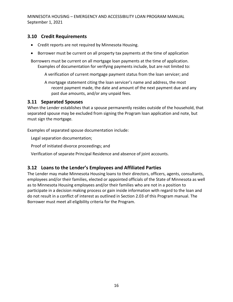#### <span id="page-15-0"></span>**3.10 Credit Requirements**

- Credit reports are not required by Minnesota Housing.
- Borrower must be current on all property tax payments at the time of application

Borrowers must be current on all mortgage loan payments at the time of application. Examples of documentation for verifying payments include, but are not limited to:

A verification of current mortgage payment status from the loan servicer; and

A mortgage statement citing the loan servicer's name and address, the most recent payment made, the date and amount of the next payment due and any past due amounts, and/or any unpaid fees.

#### **3.11 Separated Spouses**

When the Lender establishes that a spouse permanently resides outside of the household, that separated spouse may be excluded from signing the Program loan application and note, but must sign the mortgage.

Examples of separated spouse documentation include:

Legal separation documentation;

Proof of initiated divorce proceedings; and

Verification of separate Principal Residence and absence of joint accounts.

#### <span id="page-15-1"></span>**3.12 Loans to the Lender's Employees and Affiliated Parties**

The Lender may make Minnesota Housing loans to their directors, officers, agents, consultants, employees and/or their families, elected or appointed officials of the State of Minnesota as well as to Minnesota Housing employees and/or their families who are not in a position to participate in a decision making process or gain inside information with regard to the loan and do not result in a conflict of interest as outlined in Section 2.03 of this Program manual. The Borrower must meet all eligibility criteria for the Program.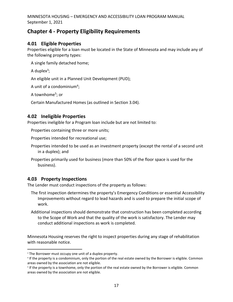# <span id="page-16-0"></span>**Chapter 4 - Property Eligibility Requirements**

## <span id="page-16-1"></span>**4.01 Eligible Properties**

Properties eligible for a loan must be located in the State of Minnesota and may include any of the following property types:

A single family detached home;

A duplex $3$ ;

An eligible unit in a Planned Unit Development (PUD);

A unit of a condominium<sup>4</sup>;

A townhome<sup>5</sup>; or

Certain Manufactured Homes (as outlined in Section 3.04).

# <span id="page-16-2"></span>**4.02 Ineligible Properties**

Properties ineligible for a Program loan include but are not limited to:

Properties containing three or more units;

Properties intended for recreational use;

Properties intended to be used as an investment property (except the rental of a second unit in a duplex); and

Properties primarily used for business (more than 50% of the floor space is used for the business).

# <span id="page-16-3"></span>**4.03 Property Inspections**

The Lender must conduct inspections of the property as follows:

- The first inspection determines the property's Emergency Conditions or essential Accessibility Improvements without regard to lead hazards and is used to prepare the initial scope of work.
- Additional inspections should demonstrate that construction has been completed according to the Scope of Work and that the quality of the work is satisfactory. The Lender may conduct additional inspections as work is completed.

Minnesota Housing reserves the right to inspect properties during any stage of rehabilitation with reasonable notice.

<sup>&</sup>lt;sup>3</sup> The Borrower must occupy one unit of a duplex property.

<sup>4</sup> If the property is a condominium, only the portion of the real estate owned by the Borrower is eligible. Common areas owned by the association are not eligible.

<sup>5</sup> If the property is a townhome, only the portion of the real estate owned by the Borrower is eligible. Common areas owned by the association are not eligible.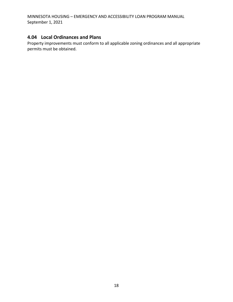## <span id="page-17-0"></span>**4.04 Local Ordinances and Plans**

Property improvements must conform to all applicable zoning ordinances and all appropriate permits must be obtained.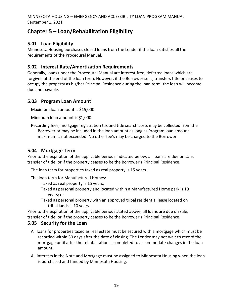# <span id="page-18-0"></span>**Chapter 5 – Loan/Rehabilitation Eligibility**

# <span id="page-18-1"></span>**5.01 Loan Eligibility**

Minnesota Housing purchases closed loans from the Lender if the loan satisfies all the requirements of the Procedural Manual.

## <span id="page-18-2"></span>**5.02 Interest Rate/Amortization Requirements**

Generally, loans under the Procedural Manual are interest-free, deferred loans which are forgiven at the end of the loan term. However, if the Borrower sells, transfers title or ceases to occupy the property as his/her Principal Residence during the loan term, the loan will become due and payable.

## <span id="page-18-3"></span>**5.03 Program Loan Amount**

Maximum loan amount is \$15,000.

Minimum loan amount is \$1,000.

Recording fees, mortgage registration tax and title search costs may be collected from the Borrower or may be included in the loan amount as long as Program loan amount maximum is not exceeded. No other fee's may be charged to the Borrower.

## <span id="page-18-4"></span>**5.04 Mortgage Term**

Prior to the expiration of the applicable periods indicated below, all loans are due on sale, transfer of title, or if the property ceases to be the Borrower's Principal Residence.

The loan term for properties taxed as real property is 15 years.

The loan term for Manufactured Homes:

Taxed as real property is 15 years;

- Taxed as personal property and located within a Manufactured Home park is 10 years; or
- <span id="page-18-5"></span>Taxed as personal property with an approved tribal residential lease located on tribal lands is 10 years.

Prior to the expiration of the applicable periods stated above, all loans are due on sale, transfer of title, or if the property ceases to be the Borrower's Principal Residence.

## **5.05 Security for the Loan**

- All loans for properties taxed as real estate must be secured with a mortgage which must be recorded within 30 days after the date of closing. The Lender may not wait to record the mortgage until after the rehabilitation is completed to accommodate changes in the loan amount.
- All interests in the Note and Mortgage must be assigned to Minnesota Housing when the loan is purchased and funded by Minnesota Housing.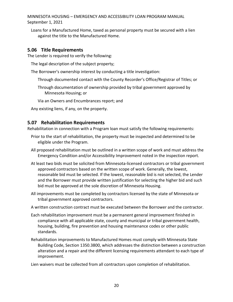Loans for a Manufactured Home, taxed as personal property must be secured with a lien against the title to the Manufactured Home.

#### <span id="page-19-0"></span>**5.06 Title Requirements**

The Lender is required to verify the following:

The legal description of the subject property;

The Borrower's ownership interest by conducting a title investigation:

Through documented contact with the County Recorder's Office/Registrar of Titles; or

Through documentation of ownership provided by tribal government approved by Minnesota Housing; or

Via an Owners and Encumbrances report; and

Any existing liens, if any, on the property.

#### **5.07 Rehabilitation Requirements**

Rehabilitation in connection with a Program loan must satisfy the following requirements:

- Prior to the start of rehabilitation, the property must be inspected and determined to be eligible under the Program.
- All proposed rehabilitation must be outlined in a written scope of work and must address the Emergency Condition and/or Accessibility Improvement noted in the inspection report.
- At least two bids must be solicited from Minnesota-licensed contractors or tribal government approved contractors based on the written scope of work. Generally, the lowest, reasonable bid must be selected. If the lowest, reasonable bid is not selected, the Lender and the Borrower must provide written justification for selecting the higher bid and such bid must be approved at the sole discretion of Minnesota Housing.
- All improvements must be completed by contractors licensed by the state of Minnesota or tribal government approved contractors.

A written construction contract must be executed between the Borrower and the contractor.

- Each rehabilitation improvement must be a permanent general improvement finished in compliance with all applicable state, county and municipal or tribal government health, housing, building, fire prevention and housing maintenance codes or other public standards.
- Rehabilitation improvements to Manufactured Homes must comply with Minnesota State Building Code, Section 1350.3800, which addresses the distinction between a construction alteration and a repair and the different licensing requirements attendant to each type of improvement.

Lien waivers must be collected from all contractors upon completion of rehabilitation.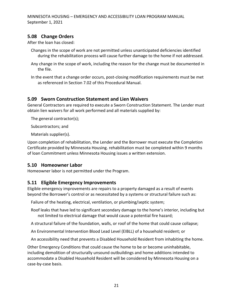## <span id="page-20-0"></span>**5.08 Change Orders**

After the loan has closed:

- Changes in the scope of work are not permitted unless unanticipated deficiencies identified during the rehabilitation process will cause further damage to the home if not addressed.
- Any change in the scope of work, including the reason for the change must be documented in the file.
- In the event that a change order occurs, post-closing modification requirements must be met as referenced in Section 7.02 of this Procedural Manual.

## <span id="page-20-1"></span>**5.09 Sworn Construction Statement and Lien Waivers**

General Contractors are required to execute a Sworn Construction Statement. The Lender must obtain lien waivers for all work performed and all materials supplied by:

The general contractor(s);

Subcontractors; and

Materials supplier(s).

Upon completion of rehabilitation, the Lender and the Borrower must execute the Completion Certificate provided by Minnesota Housing. rehabilitation must be completed within 9 months of loan Commitment unless Minnesota Housing issues a written extension.

#### <span id="page-20-2"></span>**5.10 Homeowner Labor**

Homeowner labor is not permitted under the Program.

#### <span id="page-20-3"></span>**5.11 Eligible Emergency Improvements**

Eligible emergency improvements are repairs to a property damaged as a result of events beyond the Borrower's control or as necessitated by a systems or structural failure such as:

Failure of the heating, electrical, ventilation, or plumbing/septic system;

- Roof leaks that have led to significant secondary damage to the home's interior, including but not limited to electrical damage that would cause a potential fire hazard;
- A structural failure of the foundation, walls, or roof of the home that could cause collapse;
- An Environmental Intervention Blood Lead Level (EIBLL) of a household resident; or

An accessibility need that prevents a Disabled Household Resident from inhabiting the home.

Other Emergency Conditions that could cause the home to be or become uninhabitable, including demolition of structurally unsound outbuildings and home additions intended to accommodate a Disabled Household Resident will be considered by Minnesota Housing on a case-by-case basis.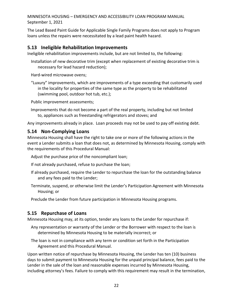The Lead Based Paint Guide for Applicable Single Family Programs does not apply to Program loans unless the repairs were necessitated by a lead paint health hazard.

#### <span id="page-21-0"></span>**5.13 Ineligible Rehabilitation Improvements**

Ineligible rehabilitation improvements include, but are not limited to, the following:

Installation of new decorative trim (except when replacement of existing decorative trim is necessary for lead hazard reduction);

Hard-wired microwave ovens;

"Luxury" improvements, which are improvements of a type exceeding that customarily used in the locality for properties of the same type as the property to be rehabilitated (swimming pool, outdoor hot tub, etc.);

Public improvement assessments;

Improvements that do not become a part of the real property, including but not limited to, appliances such as freestanding refrigerators and stoves; and

Any improvements already in place. Loan proceeds may not be used to pay off existing debt.

#### <span id="page-21-1"></span>**5.14 Non-Complying Loans**

Minnesota Housing shall have the right to take one or more of the following actions in the event a Lender submits a loan that does not, as determined by Minnesota Housing, comply with the requirements of this Procedural Manual:

Adjust the purchase price of the noncompliant loan;

- If not already purchased, refuse to purchase the loan;
- If already purchased, require the Lender to repurchase the loan for the outstanding balance and any fees paid to the Lender;
- Terminate, suspend, or otherwise limit the Lender's Participation Agreement with Minnesota Housing; or

Preclude the Lender from future participation in Minnesota Housing programs.

#### <span id="page-21-2"></span>**5.15 Repurchase of Loans**

Minnesota Housing may, at its option, tender any loans to the Lender for repurchase if:

- Any representation or warranty of the Lender or the Borrower with respect to the loan is determined by Minnesota Housing to be materially incorrect; or
- The loan is not in compliance with any term or condition set forth in the Participation Agreement and this Procedural Manual.

Upon written notice of repurchase by Minnesota Housing, the Lender has ten (10) business days to submit payment to Minnesota Housing for the unpaid principal balance, fees paid to the Lender in the sale of the loan and reasonable expenses incurred by Minnesota Housing, including attorney's fees. Failure to comply with this requirement may result in the termination,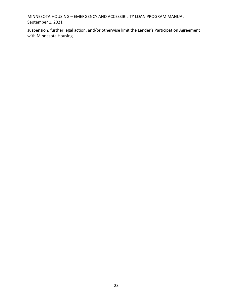suspension, further legal action, and/or otherwise limit the Lender's Participation Agreement with Minnesota Housing.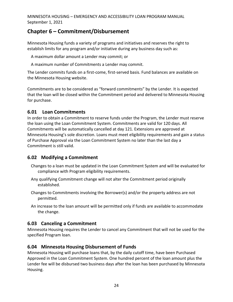# <span id="page-23-0"></span>**Chapter 6 – Commitment/Disbursement**

Minnesota Housing funds a variety of programs and initiatives and reserves the right to establish limits for any program and/or initiative during any business day such as:

A maximum dollar amount a Lender may commit; or

A maximum number of Commitments a Lender may commit.

The Lender commits funds on a first-come, first-served basis. Fund balances are available on the Minnesota Housing website.

Commitments are to be considered as "forward commitments" by the Lender. It is expected that the loan will be closed within the Commitment period and delivered to Minnesota Housing for purchase.

#### <span id="page-23-1"></span>**6.01 Loan Commitments**

In order to obtain a Commitment to reserve funds under the Program, the Lender must reserve the loan using the Loan Commitment System. Commitments are valid for 120 days. All Commitments will be automatically cancelled at day 121. Extensions are approved at Minnesota Housing's sole discretion. Loans must meet eligibility requirements and gain a status of Purchase Approval via the Loan Commitment System no later than the last day a Commitment is still valid.

#### <span id="page-23-2"></span>**6.02 Modifying a Commitment**

Changes to a loan must be updated in the Loan Commitment System and will be evaluated for compliance with Program eligibility requirements.

- Any qualifying Commitment change will not alter the Commitment period originally established.
- Changes to Commitments involving the Borrower(s) and/or the property address are not permitted.
- An increase to the loan amount will be permitted only if funds are available to accommodate the change.

## <span id="page-23-3"></span>**6.03 Canceling a Commitment**

Minnesota Housing requires the Lender to cancel any Commitment that will not be used for the specified Program loan.

#### <span id="page-23-4"></span>**6.04 Minnesota Housing Disbursement of Funds**

Minnesota Housing will purchase loans that, by the daily cutoff time, have been Purchased Approved in the Loan Commitment System. One hundred percent of the loan amount plus the Lender fee will be disbursed two business days after the loan has been purchased by Minnesota Housing.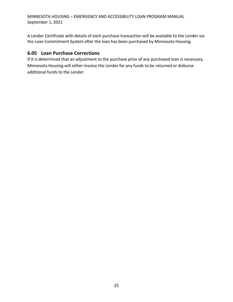A Lender Certificate with details of each purchase transaction will be available to the Lender via the Loan Commitment System after the loan has been purchased by Minnesota Housing.

#### <span id="page-24-0"></span>**6.05 Loan Purchase Corrections**

If it is determined that an adjustment to the purchase price of any purchased loan is necessary, Minnesota Housing will either invoice the Lender for any funds to be returned or disburse additional funds to the Lender.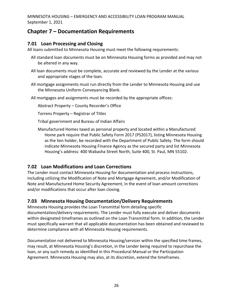# <span id="page-25-0"></span>**Chapter 7 – Documentation Requirements**

## <span id="page-25-1"></span>**7.01 Loan Processing and Closing**

All loans submitted to Minnesota Housing must meet the following requirements:

- All standard loan documents must be on Minnesota Housing forms as provided and may not be altered in any way.
- All loan documents must be complete, accurate and reviewed by the Lender at the various and appropriate stages of the loan.
- All mortgage assignments must run directly from the Lender to Minnesota Housing and use the Minnesota Uniform Conveyancing Blank.
- All mortgages and assignments must be recorded by the appropriate offices:

Abstract Property – County Recorder's Office

Torrens Property – Registrar of Titles

Tribal government and Bureau of Indian Affairs

Manufactured Homes taxed as personal property and located within a Manufactured Home park require that Public Safety Form 2017 (PS2017), listing Minnesota Housing as the lien holder, be recorded with the Department of Public Safety. The form should indicate Minnesota Housing Finance Agency as the secured party and list Minnesota Housing's address: 400 Wabasha Street North, Suite 400, St. Paul, MN 55102.

# <span id="page-25-2"></span>**7.02 Loan Modifications and Loan Corrections**

The Lender must contact Minnesota Housing for documentation and process instructions, including utilizing the Modification of Note and Mortgage Agreement, and/or Modification of Note and Manufactured Home Security Agreement, in the event of loan amount corrections and/or modifications that occur after loan closing.

## <span id="page-25-3"></span>**7.03 Minnesota Housing Documentation/Delivery Requirements**

Minnesota Housing provides the Loan Transmittal form detailing specific documentation/delivery requirements. The Lender must fully execute and deliver documents within designated timeframes as outlined on the Loan Transmittal form. In addition, the Lender must specifically warrant that all applicable documentation has been obtained and reviewed to determine compliance with all Minnesota Housing requirements.

Documentation not delivered to Minnesota Housing/servicer within the specified time frames, may result, at Minnesota Housing's discretion, in the Lender being required to repurchase the loan, or any such remedy as identified in this Procedural Manual or the Participation Agreement. Minnesota Housing may also, at its discretion, extend the timeframes.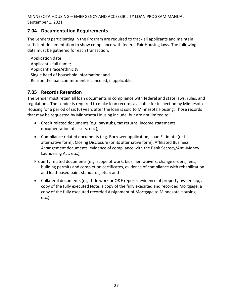#### **7.04 Documentation Requirements**

The Lenders participating in the Program are required to track all applicants and maintain sufficient documentation to show compliance with federal Fair Housing laws. The following data must be gathered for each transaction:

Application date; Applicant's full name; Applicant's race/ethnicity; Single head of household information; and Reason the loan commitment is canceled, if applicable.

#### <span id="page-26-0"></span>**7.05 Records Retention**

The Lender must retain all loan documents in compliance with federal and state laws, rules, and regulations. The Lender is required to make loan records available for inspection by Minnesota Housing for a period of six (6) years after the loan is sold to Minnesota Housing. Those records that may be requested by Minnesota Housing include, but are not limited to:

- Credit related documents (e.g. paystubs, tax returns, income statements, documentation of assets, etc.);
- Compliance related documents (e.g. Borrower application, Loan Estimate (or its alternative form), Closing Disclosure (or its alternative form), Affiliated Business Arrangement documents, evidence of compliance with the Bank Secrecy/Anti-Money Laundering Act, etc.);

Property related documents (e.g. scope of work, bids, lien waivers, change orders, fees, building permits and completion certificates, evidence of compliance with rehabilitation and lead-based paint standards, etc.); and

• Collateral documents (e.g. title work or O&E reports, evidence of property ownership, a copy of the fully executed Note, a copy of the fully executed and recorded Mortgage, a copy of the fully executed recorded Assignment of Mortgage to Minnesota Housing, etc.).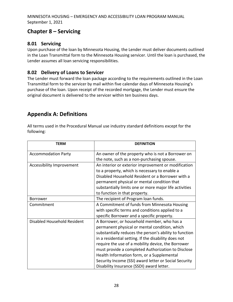# <span id="page-27-0"></span>**Chapter 8 – Servicing**

## <span id="page-27-1"></span>**8.01 Servicing**

Upon purchase of the loan by Minnesota Housing, the Lender must deliver documents outlined in the Loan Transmittal form to the Minnesota Housing servicer. Until the loan is purchased, the Lender assumes all loan servicing responsibilities.

## <span id="page-27-2"></span>**8.02 Delivery of Loans to Servicer**

The Lender must forward the loan package according to the requirements outlined in the Loan Transmittal form to the servicer by mail within five calendar days of Minnesota Housing's purchase of the loan. Upon receipt of the recorded mortgage, the Lender must ensure the original document is delivered to the servicer within ten business days.

# <span id="page-27-3"></span>**Appendix A: Definitions**

All terms used in the Procedural Manual use industry standard definitions except for the following:

| <b>TERM</b>                 | <b>DEFINITION</b>                                      |
|-----------------------------|--------------------------------------------------------|
| <b>Accommodation Party</b>  | An owner of the property who is not a Borrower on      |
|                             | the note, such as a non-purchasing spouse.             |
| Accessibility Improvement   | An interior or exterior improvement or modification    |
|                             | to a property, which is necessary to enable a          |
|                             | Disabled Household Resident or a Borrower with a       |
|                             | permanent physical or mental condition that            |
|                             | substantially limits one or more major life activities |
|                             | to function in that property.                          |
| <b>Borrower</b>             | The recipient of Program loan funds.                   |
| Commitment                  | A Commitment of funds from Minnesota Housing           |
|                             | with specific terms and conditions applied to a        |
|                             | specific Borrower and a specific property.             |
| Disabled Household Resident | A Borrower, or household member, who has a             |
|                             | permanent physical or mental condition, which          |
|                             | substantially reduces the person's ability to function |
|                             | in a residential setting. If the disability does not   |
|                             | require the use of a mobility device, the Borrower     |
|                             | must provide a completed Authorization to Disclose     |
|                             | Health Information form, or a Supplemental             |
|                             | Security Income (SSI) award letter or Social Security  |
|                             | Disability Insurance (SSDI) award letter.              |